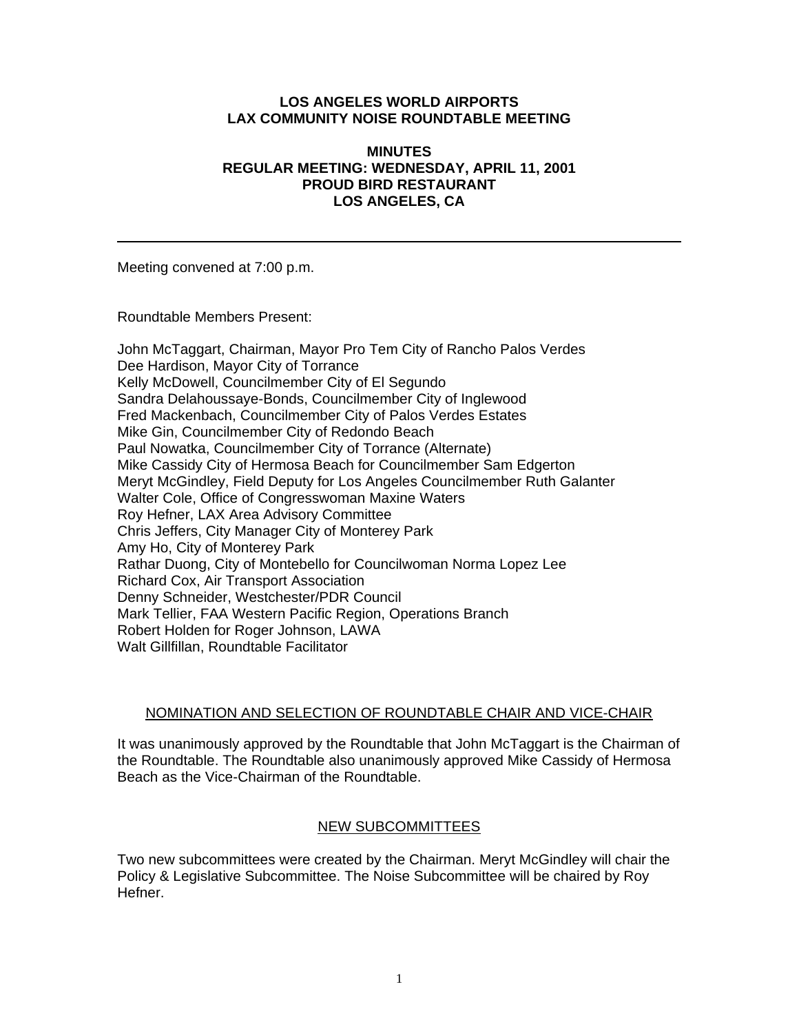### **LOS ANGELES WORLD AIRPORTS LAX COMMUNITY NOISE ROUNDTABLE MEETING**

### **MINUTES REGULAR MEETING: WEDNESDAY, APRIL 11, 2001 PROUD BIRD RESTAURANT LOS ANGELES, CA**

Meeting convened at 7:00 p.m.

Roundtable Members Present:

John McTaggart, Chairman, Mayor Pro Tem City of Rancho Palos Verdes Dee Hardison, Mayor City of Torrance Kelly McDowell, Councilmember City of El Segundo Sandra Delahoussaye-Bonds, Councilmember City of Inglewood Fred Mackenbach, Councilmember City of Palos Verdes Estates Mike Gin, Councilmember City of Redondo Beach Paul Nowatka, Councilmember City of Torrance (Alternate) Mike Cassidy City of Hermosa Beach for Councilmember Sam Edgerton Meryt McGindley, Field Deputy for Los Angeles Councilmember Ruth Galanter Walter Cole, Office of Congresswoman Maxine Waters Roy Hefner, LAX Area Advisory Committee Chris Jeffers, City Manager City of Monterey Park Amy Ho, City of Monterey Park Rathar Duong, City of Montebello for Councilwoman Norma Lopez Lee Richard Cox, Air Transport Association Denny Schneider, Westchester/PDR Council Mark Tellier, FAA Western Pacific Region, Operations Branch Robert Holden for Roger Johnson, LAWA Walt Gillfillan, Roundtable Facilitator

# NOMINATION AND SELECTION OF ROUNDTABLE CHAIR AND VICE-CHAIR

It was unanimously approved by the Roundtable that John McTaggart is the Chairman of the Roundtable. The Roundtable also unanimously approved Mike Cassidy of Hermosa Beach as the Vice-Chairman of the Roundtable.

# NEW SUBCOMMITTEES

Two new subcommittees were created by the Chairman. Meryt McGindley will chair the Policy & Legislative Subcommittee. The Noise Subcommittee will be chaired by Roy Hefner.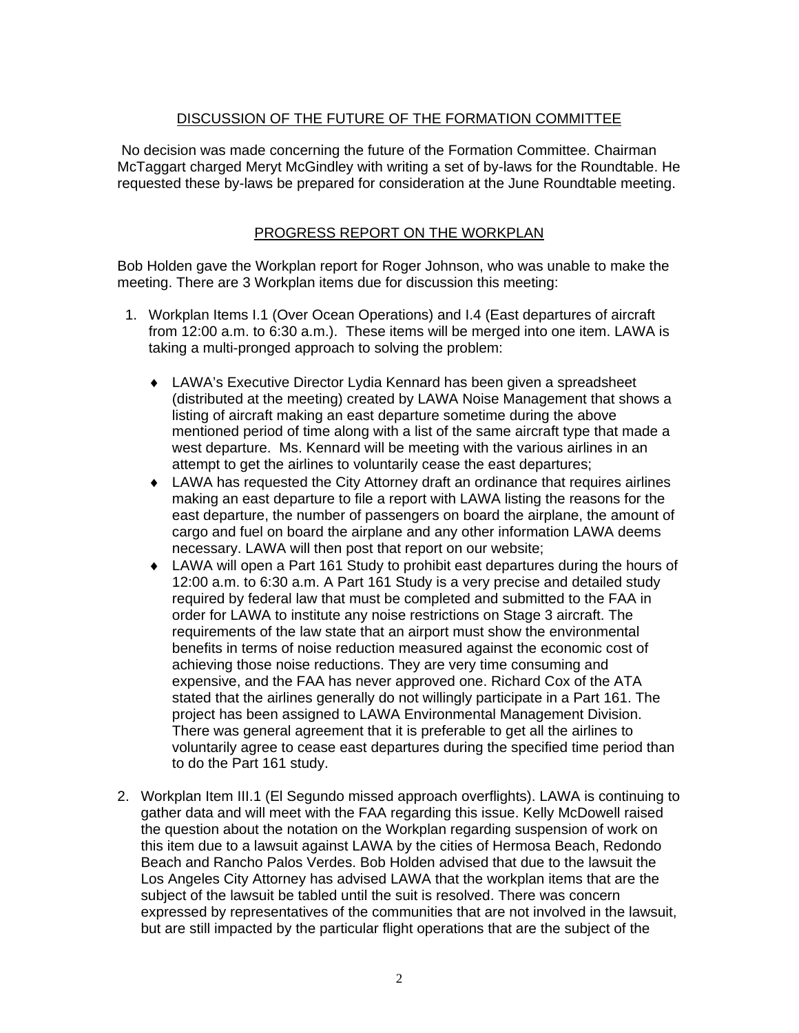# DISCUSSION OF THE FUTURE OF THE FORMATION COMMITTEE

 No decision was made concerning the future of the Formation Committee. Chairman McTaggart charged Meryt McGindley with writing a set of by-laws for the Roundtable. He requested these by-laws be prepared for consideration at the June Roundtable meeting.

# PROGRESS REPORT ON THE WORKPLAN

Bob Holden gave the Workplan report for Roger Johnson, who was unable to make the meeting. There are 3 Workplan items due for discussion this meeting:

- 1. Workplan Items I.1 (Over Ocean Operations) and I.4 (East departures of aircraft from 12:00 a.m. to 6:30 a.m.). These items will be merged into one item. LAWA is taking a multi-pronged approach to solving the problem:
	- ♦ LAWA's Executive Director Lydia Kennard has been given a spreadsheet (distributed at the meeting) created by LAWA Noise Management that shows a listing of aircraft making an east departure sometime during the above mentioned period of time along with a list of the same aircraft type that made a west departure. Ms. Kennard will be meeting with the various airlines in an attempt to get the airlines to voluntarily cease the east departures;
	- ♦ LAWA has requested the City Attorney draft an ordinance that requires airlines making an east departure to file a report with LAWA listing the reasons for the east departure, the number of passengers on board the airplane, the amount of cargo and fuel on board the airplane and any other information LAWA deems necessary. LAWA will then post that report on our website;
	- ♦ LAWA will open a Part 161 Study to prohibit east departures during the hours of 12:00 a.m. to 6:30 a.m. A Part 161 Study is a very precise and detailed study required by federal law that must be completed and submitted to the FAA in order for LAWA to institute any noise restrictions on Stage 3 aircraft. The requirements of the law state that an airport must show the environmental benefits in terms of noise reduction measured against the economic cost of achieving those noise reductions. They are very time consuming and expensive, and the FAA has never approved one. Richard Cox of the ATA stated that the airlines generally do not willingly participate in a Part 161. The project has been assigned to LAWA Environmental Management Division. There was general agreement that it is preferable to get all the airlines to voluntarily agree to cease east departures during the specified time period than to do the Part 161 study.
- 2. Workplan Item III.1 (El Segundo missed approach overflights). LAWA is continuing to gather data and will meet with the FAA regarding this issue. Kelly McDowell raised the question about the notation on the Workplan regarding suspension of work on this item due to a lawsuit against LAWA by the cities of Hermosa Beach, Redondo Beach and Rancho Palos Verdes. Bob Holden advised that due to the lawsuit the Los Angeles City Attorney has advised LAWA that the workplan items that are the subject of the lawsuit be tabled until the suit is resolved. There was concern expressed by representatives of the communities that are not involved in the lawsuit, but are still impacted by the particular flight operations that are the subject of the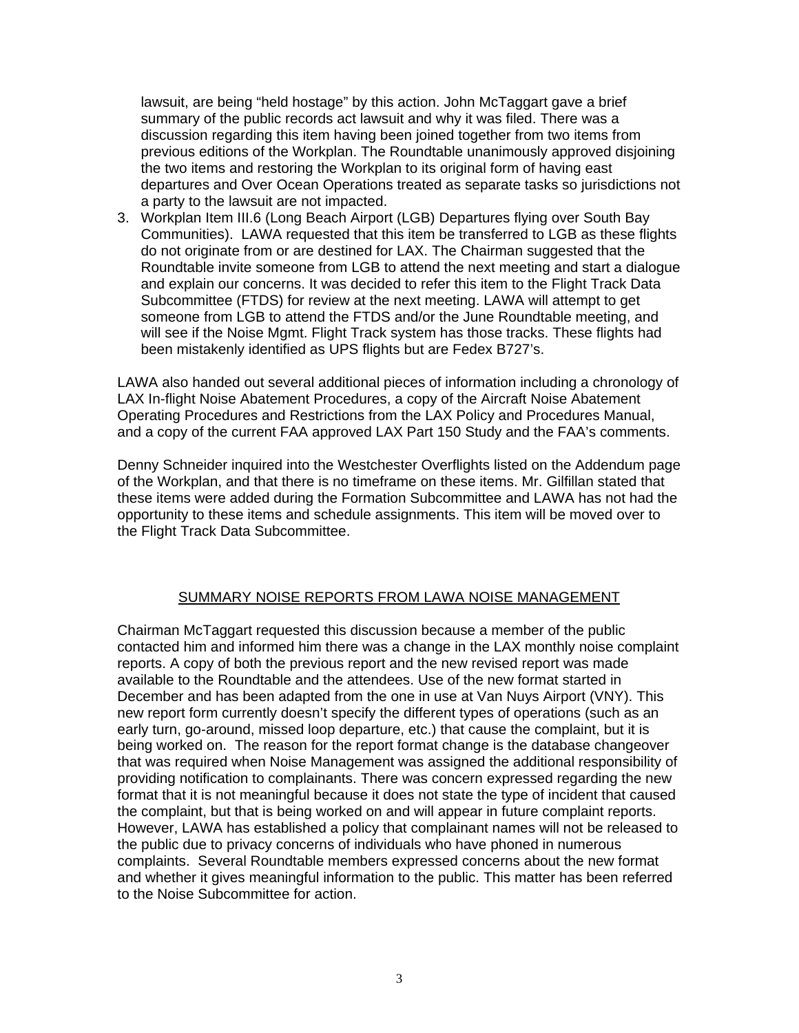lawsuit, are being "held hostage" by this action. John McTaggart gave a brief summary of the public records act lawsuit and why it was filed. There was a discussion regarding this item having been joined together from two items from previous editions of the Workplan. The Roundtable unanimously approved disjoining the two items and restoring the Workplan to its original form of having east departures and Over Ocean Operations treated as separate tasks so jurisdictions not a party to the lawsuit are not impacted.

3. Workplan Item III.6 (Long Beach Airport (LGB) Departures flying over South Bay Communities). LAWA requested that this item be transferred to LGB as these flights do not originate from or are destined for LAX. The Chairman suggested that the Roundtable invite someone from LGB to attend the next meeting and start a dialogue and explain our concerns. It was decided to refer this item to the Flight Track Data Subcommittee (FTDS) for review at the next meeting. LAWA will attempt to get someone from LGB to attend the FTDS and/or the June Roundtable meeting, and will see if the Noise Mgmt. Flight Track system has those tracks. These flights had been mistakenly identified as UPS flights but are Fedex B727's.

LAWA also handed out several additional pieces of information including a chronology of LAX In-flight Noise Abatement Procedures, a copy of the Aircraft Noise Abatement Operating Procedures and Restrictions from the LAX Policy and Procedures Manual, and a copy of the current FAA approved LAX Part 150 Study and the FAA's comments.

Denny Schneider inquired into the Westchester Overflights listed on the Addendum page of the Workplan, and that there is no timeframe on these items. Mr. Gilfillan stated that these items were added during the Formation Subcommittee and LAWA has not had the opportunity to these items and schedule assignments. This item will be moved over to the Flight Track Data Subcommittee.

# SUMMARY NOISE REPORTS FROM LAWA NOISE MANAGEMENT

Chairman McTaggart requested this discussion because a member of the public contacted him and informed him there was a change in the LAX monthly noise complaint reports. A copy of both the previous report and the new revised report was made available to the Roundtable and the attendees. Use of the new format started in December and has been adapted from the one in use at Van Nuys Airport (VNY). This new report form currently doesn't specify the different types of operations (such as an early turn, go-around, missed loop departure, etc.) that cause the complaint, but it is being worked on. The reason for the report format change is the database changeover that was required when Noise Management was assigned the additional responsibility of providing notification to complainants. There was concern expressed regarding the new format that it is not meaningful because it does not state the type of incident that caused the complaint, but that is being worked on and will appear in future complaint reports. However, LAWA has established a policy that complainant names will not be released to the public due to privacy concerns of individuals who have phoned in numerous complaints. Several Roundtable members expressed concerns about the new format and whether it gives meaningful information to the public. This matter has been referred to the Noise Subcommittee for action.